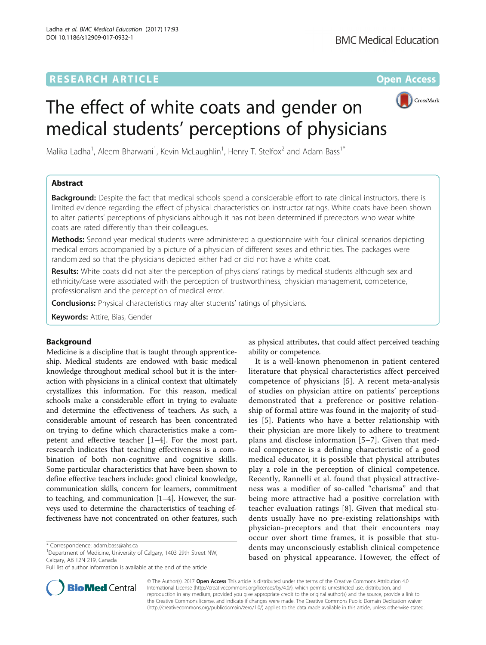

# The effect of white coats and gender on medical students' perceptions of physicians

Malika Ladha<sup>1</sup>, Aleem Bharwani<sup>1</sup>, Kevin McLaughlin<sup>1</sup>, Henry T. Stelfox<sup>2</sup> and Adam Bass<sup>1\*</sup>

# Abstract

**Background:** Despite the fact that medical schools spend a considerable effort to rate clinical instructors, there is limited evidence regarding the effect of physical characteristics on instructor ratings. White coats have been shown to alter patients' perceptions of physicians although it has not been determined if preceptors who wear white coats are rated differently than their colleagues.

Methods: Second year medical students were administered a questionnaire with four clinical scenarios depicting medical errors accompanied by a picture of a physician of different sexes and ethnicities. The packages were randomized so that the physicians depicted either had or did not have a white coat.

Results: White coats did not alter the perception of physicians' ratings by medical students although sex and ethnicity/case were associated with the perception of trustworthiness, physician management, competence, professionalism and the perception of medical error.

**Conclusions:** Physical characteristics may alter students' ratings of physicians.

Keywords: Attire, Bias, Gender

# Background

Medicine is a discipline that is taught through apprenticeship. Medical students are endowed with basic medical knowledge throughout medical school but it is the interaction with physicians in a clinical context that ultimately crystallizes this information. For this reason, medical schools make a considerable effort in trying to evaluate and determine the effectiveness of teachers. As such, a considerable amount of research has been concentrated on trying to define which characteristics make a competent and effective teacher [\[1](#page-3-0)–[4](#page-4-0)]. For the most part, research indicates that teaching effectiveness is a combination of both non-cognitive and cognitive skills. Some particular characteristics that have been shown to define effective teachers include: good clinical knowledge, communication skills, concern for learners, commitment to teaching, and communication [\[1](#page-3-0)–[4](#page-4-0)]. However, the surveys used to determine the characteristics of teaching effectiveness have not concentrated on other features, such

<sup>1</sup>Department of Medicine, University of Calgary, 1403 29th Street NW, Calgary, AB T2N 2T9, Canada



It is a well-known phenomenon in patient centered literature that physical characteristics affect perceived competence of physicians [[5\]](#page-4-0). A recent meta-analysis of studies on physician attire on patients' perceptions demonstrated that a preference or positive relationship of formal attire was found in the majority of studies [\[5](#page-4-0)]. Patients who have a better relationship with their physician are more likely to adhere to treatment plans and disclose information [[5](#page-4-0)–[7](#page-4-0)]. Given that medical competence is a defining characteristic of a good medical educator, it is possible that physical attributes play a role in the perception of clinical competence. Recently, Rannelli et al. found that physical attractiveness was a modifier of so-called "charisma" and that being more attractive had a positive correlation with teacher evaluation ratings [\[8\]](#page-4-0). Given that medical students usually have no pre-existing relationships with physician-preceptors and that their encounters may occur over short time frames, it is possible that students may unconsciously establish clinical competence based on physical appearance. However, the effect of



© The Author(s). 2017 **Open Access** This article is distributed under the terms of the Creative Commons Attribution 4.0 International License [\(http://creativecommons.org/licenses/by/4.0/](http://creativecommons.org/licenses/by/4.0/)), which permits unrestricted use, distribution, and reproduction in any medium, provided you give appropriate credit to the original author(s) and the source, provide a link to the Creative Commons license, and indicate if changes were made. The Creative Commons Public Domain Dedication waiver [\(http://creativecommons.org/publicdomain/zero/1.0/](http://creativecommons.org/publicdomain/zero/1.0/)) applies to the data made available in this article, unless otherwise stated.

<sup>\*</sup> Correspondence: [adam.bass@ahs.ca](mailto:adam.bass@ahs.ca) <sup>1</sup>

Full list of author information is available at the end of the article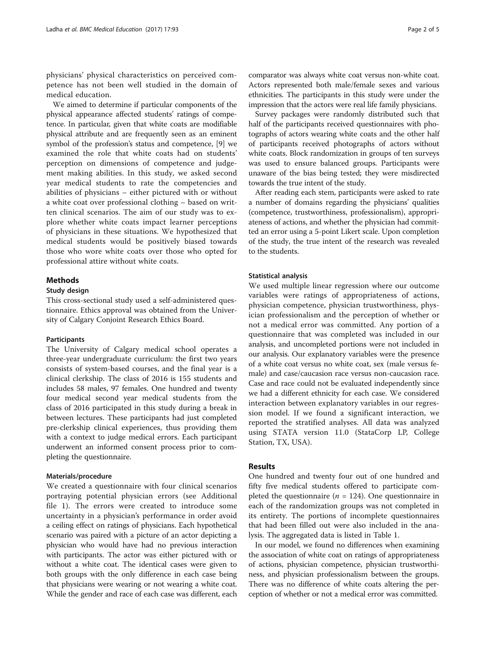physicians' physical characteristics on perceived competence has not been well studied in the domain of medical education.

We aimed to determine if particular components of the physical appearance affected students' ratings of competence. In particular, given that white coats are modifiable physical attribute and are frequently seen as an eminent symbol of the profession's status and competence, [[9\]](#page-4-0) we examined the role that white coats had on students' perception on dimensions of competence and judgement making abilities. In this study, we asked second year medical students to rate the competencies and abilities of physicians – either pictured with or without a white coat over professional clothing – based on written clinical scenarios. The aim of our study was to explore whether white coats impact learner perceptions of physicians in these situations. We hypothesized that medical students would be positively biased towards those who wore white coats over those who opted for professional attire without white coats.

# **Methods**

# Study design

This cross-sectional study used a self-administered questionnaire. Ethics approval was obtained from the University of Calgary Conjoint Research Ethics Board.

## Participants

The University of Calgary medical school operates a three-year undergraduate curriculum: the first two years consists of system-based courses, and the final year is a clinical clerkship. The class of 2016 is 155 students and includes 58 males, 97 females. One hundred and twenty four medical second year medical students from the class of 2016 participated in this study during a break in between lectures. These participants had just completed pre-clerkship clinical experiences, thus providing them with a context to judge medical errors. Each participant underwent an informed consent process prior to completing the questionnaire.

## Materials/procedure

We created a questionnaire with four clinical scenarios portraying potential physician errors (see Additional file [1\)](#page-3-0). The errors were created to introduce some uncertainty in a physician's performance in order avoid a ceiling effect on ratings of physicians. Each hypothetical scenario was paired with a picture of an actor depicting a physician who would have had no previous interaction with participants. The actor was either pictured with or without a white coat. The identical cases were given to both groups with the only difference in each case being that physicians were wearing or not wearing a white coat. While the gender and race of each case was different, each

comparator was always white coat versus non-white coat. Actors represented both male/female sexes and various ethnicities. The participants in this study were under the impression that the actors were real life family physicians.

Survey packages were randomly distributed such that half of the participants received questionnaires with photographs of actors wearing white coats and the other half of participants received photographs of actors without white coats. Block randomization in groups of ten surveys was used to ensure balanced groups. Participants were unaware of the bias being tested; they were misdirected towards the true intent of the study.

After reading each stem, participants were asked to rate a number of domains regarding the physicians' qualities (competence, trustworthiness, professionalism), appropriateness of actions, and whether the physician had committed an error using a 5-point Likert scale. Upon completion of the study, the true intent of the research was revealed to the students.

# Statistical analysis

We used multiple linear regression where our outcome variables were ratings of appropriateness of actions, physician competence, physician trustworthiness, physician professionalism and the perception of whether or not a medical error was committed. Any portion of a questionnaire that was completed was included in our analysis, and uncompleted portions were not included in our analysis. Our explanatory variables were the presence of a white coat versus no white coat, sex (male versus female) and case/caucasion race versus non-caucasion race. Case and race could not be evaluated independently since we had a different ethnicity for each case. We considered interaction between explanatory variables in our regression model. If we found a significant interaction, we reported the stratified analyses. All data was analyzed using STATA version 11.0 (StataCorp LP, College Station, TX, USA).

# Results

One hundred and twenty four out of one hundred and fifty five medical students offered to participate completed the questionnaire ( $n = 124$ ). One questionnaire in each of the randomization groups was not completed in its entirety. The portions of incomplete questionnaires that had been filled out were also included in the analysis. The aggregated data is listed in Table [1.](#page-2-0)

In our model, we found no differences when examining the association of white coat on ratings of appropriateness of actions, physician competence, physician trustworthiness, and physician professionalism between the groups. There was no difference of white coats altering the perception of whether or not a medical error was committed.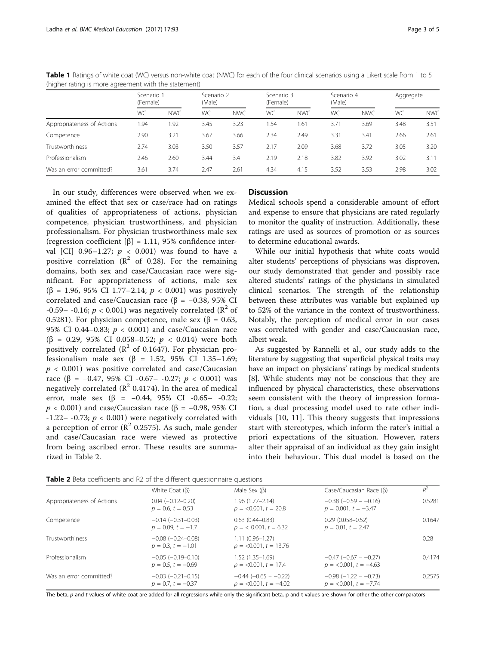|                            | Scenario 1<br>(Female) |            | Scenario 2<br>(Male) |            | Scenario 3<br>(Female) |            | Scenario 4<br>(Male) |            | Aggregate |            |
|----------------------------|------------------------|------------|----------------------|------------|------------------------|------------|----------------------|------------|-----------|------------|
|                            | WC                     | <b>NWC</b> | WC                   | <b>NWC</b> | WC                     | <b>NWC</b> | WC                   | <b>NWC</b> | WC        | <b>NWC</b> |
| Appropriateness of Actions | 1.94                   | 1.92       | 3.45                 | 3.23       | .54                    | 1.61       | 3.71                 | 3.69       | 3.48      | 3.51       |
| Competence                 | 2.90                   | 3.21       | 3.67                 | 3.66       | 2.34                   | 2.49       | 3.31                 | 3.41       | 2.66      | 2.61       |
| Trustworthiness            | 2.74                   | 3.03       | 3.50                 | 3.57       | 2.17                   | 2.09       | 3.68                 | 3.72       | 3.05      | 3.20       |
| Professionalism            | 2.46                   | 2.60       | 3.44                 | 3.4        | 2.19                   | 2.18       | 3.82                 | 3.92       | 3.02      | 3.11       |
| Was an error committed?    | 3.61                   | 3.74       | 2.47                 | 2.61       | 4.34                   | 4.15       | 3.52                 | 3.53       | 2.98      | 3.02       |

<span id="page-2-0"></span>Table 1 Ratings of white coat (WC) versus non-white coat (NWC) for each of the four clinical scenarios using a Likert scale from 1 to 5 (higher rating is more agreement with the statement)

In our study, differences were observed when we examined the effect that sex or case/race had on ratings of qualities of appropriateness of actions, physician competence, physician trustworthiness, and physician professionalism. For physician trustworthiness male sex (regression coefficient  $[\beta] = 1.11$ , 95% confidence interval [CI] 0.96–1.27;  $p < 0.001$  was found to have a positive correlation  $(R^2 \text{ of } 0.28)$ . For the remaining domains, both sex and case/Caucasian race were significant. For appropriateness of actions, male sex ( $\beta$  = 1.96, 95% CI 1.77–2.14;  $p < 0.001$ ) was positively correlated and case/Caucasian race ( $β = -0.38$ , 95% CI -0.59– -0.16;  $p < 0.001$ ) was negatively correlated ( $\mathbb{R}^2$  of 0.5281). For physician competence, male sex ( $\beta$  = 0.63, 95% CI 0.44–0.83;  $p < 0.001$ ) and case/Caucasian race (β = 0.29, 95% CI 0.058–0.52; p < 0.014) were both positively correlated ( $\mathbb{R}^2$  of 0.1647). For physician professionalism male sex (β = 1.52, 95% CI 1.35–1.69;  $p < 0.001$ ) was positive correlated and case/Caucasian race ( $\beta$  = -0.47, 95% CI -0.67– -0.27;  $p < 0.001$ ) was negatively correlated ( $\mathbb{R}^2$  0.4174). In the area of medical error, male sex ( $\beta$  = -0.44, 95% CI -0.65– -0.22;  $p < 0.001$ ) and case/Caucasian race ( $\beta = -0.98$ , 95% CI -1.22– -0.73;  $p < 0.001$ ) were negatively correlated with a perception of error ( $\mathbb{R}^2$  0.2575). As such, male gender and case/Caucasian race were viewed as protective from being ascribed error. These results are summarized in Table 2.

# **Discussion**

Medical schools spend a considerable amount of effort and expense to ensure that physicians are rated regularly to monitor the quality of instruction. Additionally, these ratings are used as sources of promotion or as sources to determine educational awards.

While our initial hypothesis that white coats would alter students' perceptions of physicians was disproven, our study demonstrated that gender and possibly race altered students' ratings of the physicians in simulated clinical scenarios. The strength of the relationship between these attributes was variable but explained up to 52% of the variance in the context of trustworthiness. Notably, the perception of medical error in our cases was correlated with gender and case/Caucausian race, albeit weak.

As suggested by Rannelli et al., our study adds to the literature by suggesting that superficial physical traits may have an impact on physicians' ratings by medical students [[8\]](#page-4-0). While students may not be conscious that they are influenced by physical characteristics, these observations seem consistent with the theory of impression formation, a dual processing model used to rate other individuals [[10](#page-4-0), [11](#page-4-0)]. This theory suggests that impressions start with stereotypes, which inform the rater's initial a priori expectations of the situation. However, raters alter their appraisal of an individual as they gain insight into their behaviour. This dual model is based on the

|                            | White Coat $(\beta)$                                | Male Sex $(\beta)$                                         | Case/Caucasian Race (B)                                    | $R^2$  |
|----------------------------|-----------------------------------------------------|------------------------------------------------------------|------------------------------------------------------------|--------|
| Appropriateness of Actions | $0.04 (-0.12 - 0.20)$<br>$p = 0.6$ , $t = 0.53$     | $1.96(1.77 - 2.14)$<br>$p = 0.001$ , $t = 20.8$            | $-0.38$ ( $-0.59$ - $-0.16$ )<br>$p = 0.001$ , $t = -3.47$ | 0.5281 |
| Competence                 | $-0.14(-0.31-0.03)$<br>$p = 0.09$ , $t = -1.7$      | $0.63(0.44 - 0.83)$<br>$p = 0.001$ , $t = 6.32$            | $0.29(0.058 - 0.52)$<br>$p = 0.01$ , $t = 2.47$            | 0.1647 |
| Trustworthiness            | $-0.08$ $(-0.24 - 0.08)$<br>$p = 0.3$ , $t = -1.01$ | $1.11(0.96 - 1.27)$<br>$p = 0.001$ , $t = 13.76$           |                                                            | 0.28   |
| Professionalism            | $-0.05$ $(-0.19 - 0.10)$<br>$p = 0.5$ , $t = -0.69$ | $1.52(1.35 - 1.69)$<br>$p = 0.001$ , $t = 17.4$            | $-0.47$ ( $-0.67$ - $-0.27$ )<br>$p = 0.001$ , $t = -4.63$ | 0.4174 |
| Was an error committed?    | $-0.03$ $(-0.21 - 0.15)$<br>$p = 0.7$ , $t = -0.37$ | $-0.44$ ( $-0.65$ - $-0.22$ )<br>$p = 0.001$ , $t = -4.02$ | $-0.98$ ( $-1.22$ $ -0.73$ )<br>$p = 0.001$ , $t = -7.74$  | 0.2575 |

**Table 2** Beta coefficients and R2 of the different questionnaire questions

The beta, p and t values of white coat are added for all regressions while only the significant beta, p and t values are shown for other the other comparators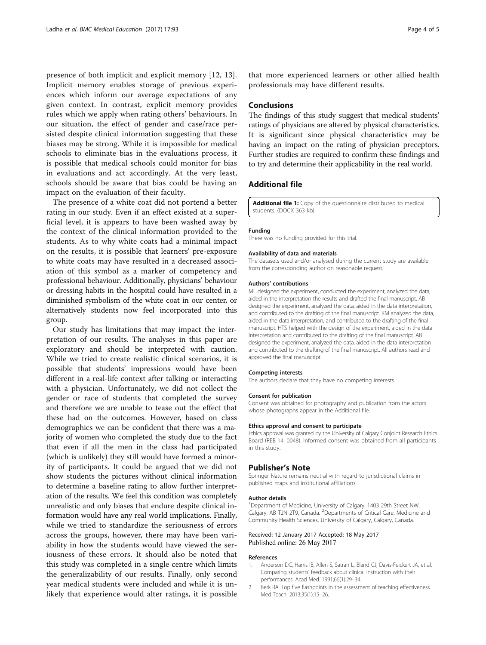<span id="page-3-0"></span>presence of both implicit and explicit memory [[12, 13](#page-4-0)]. Implicit memory enables storage of previous experiences which inform our average expectations of any given context. In contrast, explicit memory provides rules which we apply when rating others' behaviours. In our situation, the effect of gender and case/race persisted despite clinical information suggesting that these biases may be strong. While it is impossible for medical schools to eliminate bias in the evaluations process, it is possible that medical schools could monitor for bias in evaluations and act accordingly. At the very least, schools should be aware that bias could be having an impact on the evaluation of their faculty.

The presence of a white coat did not portend a better rating in our study. Even if an effect existed at a superficial level, it is appears to have been washed away by the context of the clinical information provided to the students. As to why white coats had a minimal impact on the results, it is possible that learners' pre-exposure to white coats may have resulted in a decreased association of this symbol as a marker of competency and professional behaviour. Additionally, physicians' behaviour or dressing habits in the hospital could have resulted in a diminished symbolism of the white coat in our center, or alternatively students now feel incorporated into this group.

Our study has limitations that may impact the interpretation of our results. The analyses in this paper are exploratory and should be interpreted with caution. While we tried to create realistic clinical scenarios, it is possible that students' impressions would have been different in a real-life context after talking or interacting with a physician. Unfortunately, we did not collect the gender or race of students that completed the survey and therefore we are unable to tease out the effect that these had on the outcomes. However, based on class demographics we can be confident that there was a majority of women who completed the study due to the fact that even if all the men in the class had participated (which is unlikely) they still would have formed a minority of participants. It could be argued that we did not show students the pictures without clinical information to determine a baseline rating to allow further interpretation of the results. We feel this condition was completely unrealistic and only biases that endure despite clinical information would have any real world implications. Finally, while we tried to standardize the seriousness of errors across the groups, however, there may have been variability in how the students would have viewed the seriousness of these errors. It should also be noted that this study was completed in a single centre which limits the generalizability of our results. Finally, only second year medical students were included and while it is unlikely that experience would alter ratings, it is possible

that more experienced learners or other allied health professionals may have different results.

# Conclusions

The findings of this study suggest that medical students' ratings of physicians are altered by physical characteristics. It is significant since physical characteristics may be having an impact on the rating of physician preceptors. Further studies are required to confirm these findings and to try and determine their applicability in the real world.

# Additional file

[Additional file 1:](dx.doi.org/10.1186/s12909-017-0932-1) Copy of the questionnaire distributed to medical students. (DOCX 363 kb)

#### Funding

There was no funding provided for this trial.

#### Availability of data and materials

The datasets used and/or analysed during the current study are available from the corresponding author on reasonable request.

## Authors' contributions

ML designed the experiment, conducted the experiment, analyzed the data, aided in the interpretation the results and drafted the final manuscript. AB designed the experiment, analyzed the data, aided in the data interpretation, and contributed to the drafting of the final manuscript. KM analyzed the data, aided in the data interpretation, and contributed to the drafting of the final manuscript. HTS helped with the design of the experiment, aided in the data interpretation and contributed to the drafting of the final manuscript. AB designed the experiment, analyzed the data, aided in the data interpretation and contributed to the drafting of the final manuscript. All authors read and approved the final manuscript.

#### Competing interests

The authors declare that they have no competing interests.

#### Consent for publication

Consent was obtained for photography and publication from the actors whose photographs appear in the Additional file.

#### Ethics approval and consent to participate

Ethics approval was granted by the University of Calgary Conjoint Research Ethics Board (REB 14–0048). Informed consent was obtained from all participants in this study.

## Publisher's Note

Springer Nature remains neutral with regard to jurisdictional claims in published maps and institutional affiliations.

#### Author details

<sup>1</sup>Department of Medicine, University of Calgary, 1403 29th Street NW, Calgary, AB T2N 2T9, Canada. <sup>2</sup>Departments of Critical Care, Medicine and Community Health Sciences, University of Calgary, Calgary, Canada.

## Received: 12 January 2017 Accepted: 18 May 2017 Published online: 26 May 2017

#### References

- 1. Anderson DC, Harris IB, Allen S, Satran L, Bland CJ, Davis-Feickert JA, et al. Comparing students' feedback about clinical instruction with their performances. Acad Med. 1991;66(1):29–34.
- 2. Berk RA. Top five flashpoints in the assessment of teaching effectiveness. Med Teach. 2013;35(1):15–26.